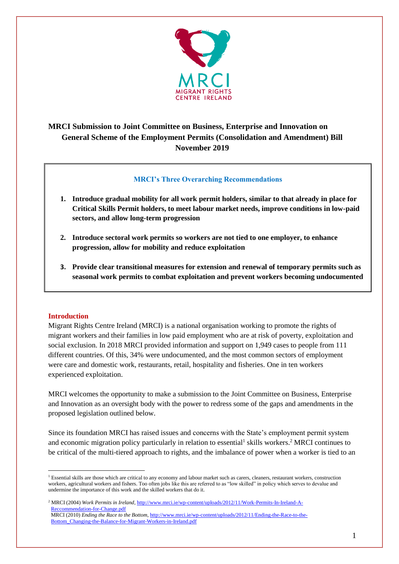

# **MRCI Submission to Joint Committee on Business, Enterprise and Innovation on General Scheme of the Employment Permits (Consolidation and Amendment) Bill November 2019**

## **MRCI's Three Overarching Recommendations**

- **1. Introduce gradual mobility for all work permit holders, similar to that already in place for Critical Skills Permit holders, to meet labour market needs, improve conditions in low-paid sectors, and allow long-term progression**
- **2. Introduce sectoral work permits so workers are not tied to one employer, to enhance progression, allow for mobility and reduce exploitation**
- **3. Provide clear transitional measures for extension and renewal of temporary permits such as seasonal work permits to combat exploitation and prevent workers becoming undocumented**

## **Introduction**

<u>.</u>

Migrant Rights Centre Ireland (MRCI) is a national organisation working to promote the rights of migrant workers and their families in low paid employment who are at risk of poverty, exploitation and social exclusion. In 2018 MRCI provided information and support on 1,949 cases to people from 111 different countries. Of this, 34% were undocumented, and the most common sectors of employment were care and domestic work, restaurants, retail, hospitality and fisheries. One in ten workers experienced exploitation.

MRCI welcomes the opportunity to make a submission to the Joint Committee on Business, Enterprise and Innovation as an oversight body with the power to redress some of the gaps and amendments in the proposed legislation outlined below.

Since its foundation MRCI has raised issues and concerns with the State's employment permit system and economic migration policy particularly in relation to essential<sup>1</sup> skills workers.<sup>2</sup> MRCI continues to be critical of the multi-tiered approach to rights, and the imbalance of power when a worker is tied to an

<sup>&</sup>lt;sup>1</sup> Essential skills are those which are critical to any economy and labour market such as carers, cleaners, restaurant workers, construction workers, agricultural workers and fishers. Too often jobs like this are referred to as "low skilled" in policy which serves to devalue and undermine the importance of this work and the skilled workers that do it.

<sup>2</sup> MRCI (2004) *Work Permits in Ireland*, [http://www.mrci.ie/wp-content/uploads/2012/11/Work-Permits-In-Ireland-A-](http://www.mrci.ie/wp-content/uploads/2012/11/Work-Permits-In-Ireland-A-%20%20%20%20%20%20%20%20%20%20%20%20%20%20%0b%20%20Reccommendation-for-Change.pdf)   [Reccommendation-for-Change.pdf](http://www.mrci.ie/wp-content/uploads/2012/11/Work-Permits-In-Ireland-A-%20%20%20%20%20%20%20%20%20%20%20%20%20%20%0b%20%20Reccommendation-for-Change.pdf) MRCI (2010) *Ending the Race to the Bottom*, [http://www.mrci.ie/wp-content/uploads/2012/11/Ending-the-Race-to-the-](http://www.mrci.ie/wp-content/uploads/2012/11/Ending-the-Race-to-the-%20%20%0b%20%20Bottom_Changing-the-Balance-for-Migrant-Workers-in-Ireland.pdf)   [Bottom\\_Changing-the-Balance-for-Migrant-Workers-in-Ireland.pdf](http://www.mrci.ie/wp-content/uploads/2012/11/Ending-the-Race-to-the-%20%20%0b%20%20Bottom_Changing-the-Balance-for-Migrant-Workers-in-Ireland.pdf)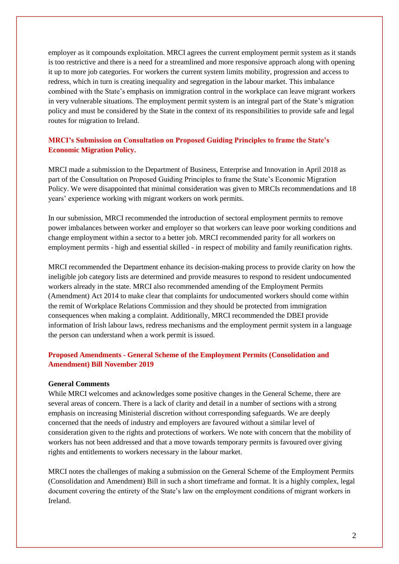employer as it compounds exploitation. MRCI agrees the current employment permit system as it stands is too restrictive and there is a need for a streamlined and more responsive approach along with opening it up to more job categories. For workers the current system limits mobility, progression and access to redress, which in turn is creating inequality and segregation in the labour market. This imbalance combined with the State's emphasis on immigration control in the workplace can leave migrant workers in very vulnerable situations. The employment permit system is an integral part of the State's migration policy and must be considered by the State in the context of its responsibilities to provide safe and legal routes for migration to Ireland.

## **MRCI's Submission on Consultation on Proposed Guiding Principles to frame the State's Economic Migration Policy.**

MRCI made a submission to the Department of Business, Enterprise and Innovation in April 2018 as part of the Consultation on Proposed Guiding Principles to frame the State's Economic Migration Policy. We were disappointed that minimal consideration was given to MRCIs recommendations and 18 years' experience working with migrant workers on work permits.

In our submission, MRCI recommended the introduction of sectoral employment permits to remove power imbalances between worker and employer so that workers can leave poor working conditions and change employment within a sector to a better job. MRCI recommended parity for all workers on employment permits - high and essential skilled - in respect of mobility and family reunification rights.

MRCI recommended the Department enhance its decision-making process to provide clarity on how the ineligible job category lists are determined and provide measures to respond to resident undocumented workers already in the state. MRCI also recommended amending of the Employment Permits (Amendment) Act 2014 to make clear that complaints for undocumented workers should come within the remit of Workplace Relations Commission and they should be protected from immigration consequences when making a complaint. Additionally, MRCI recommended the DBEI provide information of Irish labour laws, redress mechanisms and the employment permit system in a language the person can understand when a work permit is issued.

## **Proposed Amendments - General Scheme of the Employment Permits (Consolidation and Amendment) Bill November 2019**

### **General Comments**

While MRCI welcomes and acknowledges some positive changes in the General Scheme, there are several areas of concern. There is a lack of clarity and detail in a number of sections with a strong emphasis on increasing Ministerial discretion without corresponding safeguards. We are deeply concerned that the needs of industry and employers are favoured without a similar level of consideration given to the rights and protections of workers. We note with concern that the mobility of workers has not been addressed and that a move towards temporary permits is favoured over giving rights and entitlements to workers necessary in the labour market.

MRCI notes the challenges of making a submission on the General Scheme of the Employment Permits (Consolidation and Amendment) Bill in such a short timeframe and format. It is a highly complex, legal document covering the entirety of the State's law on the employment conditions of migrant workers in Ireland.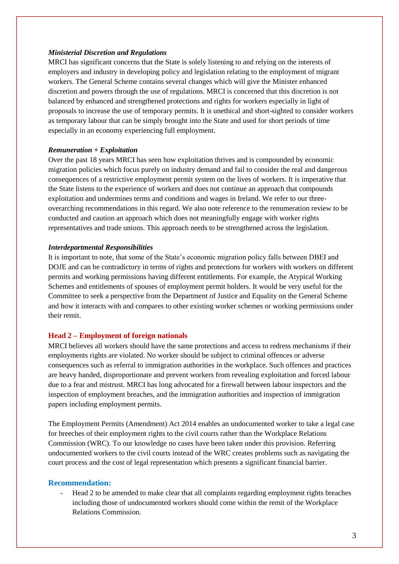#### *Ministerial Discretion and Regulations*

MRCI has significant concerns that the State is solely listening to and relying on the interests of employers and industry in developing policy and legislation relating to the employment of migrant workers. The General Scheme contains several changes which will give the Minister enhanced discretion and powers through the use of regulations. MRCI is concerned that this discretion is not balanced by enhanced and strengthened protections and rights for workers especially in light of proposals to increase the use of temporary permits. It is unethical and short-sighted to consider workers as temporary labour that can be simply brought into the State and used for short periods of time especially in an economy experiencing full employment.

### *Remuneration + Exploitation*

Over the past 18 years MRCI has seen how exploitation thrives and is compounded by economic migration policies which focus purely on industry demand and fail to consider the real and dangerous consequences of a restrictive employment permit system on the lives of workers. It is imperative that the State listens to the experience of workers and does not continue an approach that compounds exploitation and undermines terms and conditions and wages in Ireland. We refer to our threeoverarching recommendations in this regard. We also note reference to the renumeration review to be conducted and caution an approach which does not meaningfully engage with worker rights representatives and trade unions. This approach needs to be strengthened across the legislation.

### *Interdepartmental Responsibilities*

It is important to note, that some of the State's economic migration policy falls between DBEI and DOJE and can be contradictory in terms of rights and protections for workers with workers on different permits and working permissions having different entitlements. For example, the Atypical Working Schemes and entitlements of spouses of employment permit holders. It would be very useful for the Committee to seek a perspective from the Department of Justice and Equality on the General Scheme and how it interacts with and compares to other existing worker schemes or working permissions under their remit.

## **Head 2 – Employment of foreign nationals**

MRCI believes all workers should have the same protections and access to redress mechanisms if their employments rights are violated. No worker should be subject to criminal offences or adverse consequences such as referral to immigration authorities in the workplace. Such offences and practices are heavy handed, disproportionate and prevent workers from revealing exploitation and forced labour due to a fear and mistrust. MRCI has long advocated for a firewall between labour inspectors and the inspection of employment breaches, and the immigration authorities and inspection of immigration papers including employment permits.

The Employment Permits (Amendment) Act 2014 enables an undocumented worker to take a legal case for breeches of their employment rights to the civil courts rather than the Workplace Relations Commission (WRC). To our knowledge no cases have been taken under this provision. Referring undocumented workers to the civil courts instead of the WRC creates problems such as navigating the court process and the cost of legal representation which presents a significant financial barrier.

### **Recommendation:**

- Head 2 to be amended to make clear that all complaints regarding employment rights breaches including those of undocumented workers should come within the remit of the Workplace Relations Commission.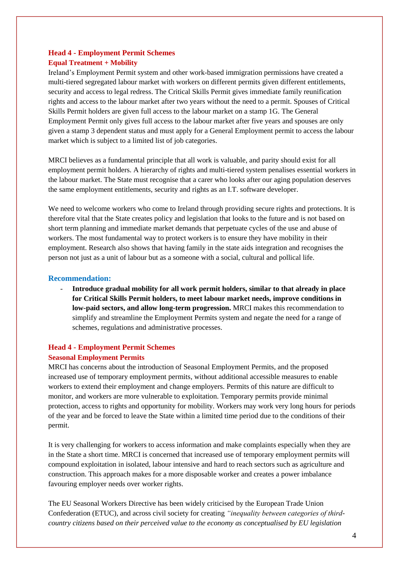## **Head 4 - Employment Permit Schemes Equal Treatment + Mobility**

Ireland's Employment Permit system and other work-based immigration permissions have created a multi-tiered segregated labour market with workers on different permits given different entitlements, security and access to legal redress. The Critical Skills Permit gives immediate family reunification rights and access to the labour market after two years without the need to a permit. Spouses of Critical Skills Permit holders are given full access to the labour market on a stamp 1G. The General Employment Permit only gives full access to the labour market after five years and spouses are only given a stamp 3 dependent status and must apply for a General Employment permit to access the labour market which is subject to a limited list of job categories.

## MRCI believes as a fundamental principle that all work is valuable, and parity should exist for all employment permit holders. A hierarchy of rights and multi-tiered system penalises essential workers in the labour market. The State must recognise that a carer who looks after our aging population deserves the same employment entitlements, security and rights as an I.T. software developer.

We need to welcome workers who come to Ireland through providing secure rights and protections. It is therefore vital that the State creates policy and legislation that looks to the future and is not based on short term planning and immediate market demands that perpetuate cycles of the use and abuse of workers. The most fundamental way to protect workers is to ensure they have mobility in their employment. Research also shows that having family in the state aids integration and recognises the person not just as a unit of labour but as a someone with a social, cultural and pollical life.

## **Recommendation:**

- **Introduce gradual mobility for all work permit holders, similar to that already in place for Critical Skills Permit holders, to meet labour market needs, improve conditions in low-paid sectors, and allow long-term progression.** MRCI makes this recommendation to simplify and streamline the Employment Permits system and negate the need for a range of schemes, regulations and administrative processes.

## **Head 4 - Employment Permit Schemes**

### **Seasonal Employment Permits**

MRCI has concerns about the introduction of Seasonal Employment Permits, and the proposed increased use of temporary employment permits, without additional accessible measures to enable workers to extend their employment and change employers. Permits of this nature are difficult to monitor, and workers are more vulnerable to exploitation. Temporary permits provide minimal protection, access to rights and opportunity for mobility. Workers may work very long hours for periods of the year and be forced to leave the State within a limited time period due to the conditions of their permit.

It is very challenging for workers to access information and make complaints especially when they are in the State a short time. MRCI is concerned that increased use of temporary employment permits will compound exploitation in isolated, labour intensive and hard to reach sectors such as agriculture and construction. This approach makes for a more disposable worker and creates a power imbalance favouring employer needs over worker rights.

The EU Seasonal Workers Directive has been widely criticised by the European Trade Union Confederation (ETUC), and across civil society for creating *"inequality between categories of thirdcountry citizens based on their perceived value to the economy as conceptualised by EU legislation*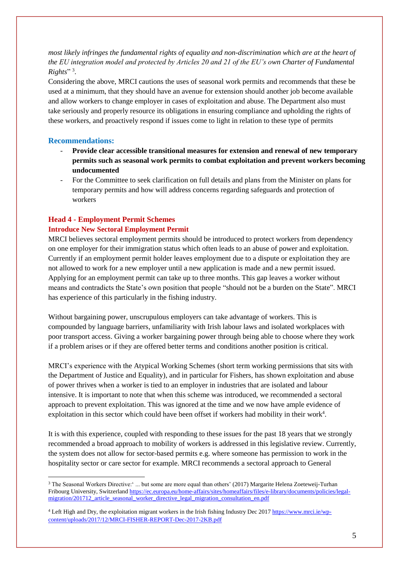*most likely infringes the fundamental rights of equality and non-discrimination which are at the heart of the EU integration model and protected by Articles 20 and 21 of the EU's own Charter of Fundamental Rights*"<sup>3</sup>.

Considering the above, MRCI cautions the uses of seasonal work permits and recommends that these be used at a minimum, that they should have an avenue for extension should another job become available and allow workers to change employer in cases of exploitation and abuse. The Department also must take seriously and properly resource its obligations in ensuring compliance and upholding the rights of these workers, and proactively respond if issues come to light in relation to these type of permits

## **Recommendations:**

1

- **Provide clear accessible transitional measures for extension and renewal of new temporary permits such as seasonal work permits to combat exploitation and prevent workers becoming undocumented**
- For the Committee to seek clarification on full details and plans from the Minister on plans for temporary permits and how will address concerns regarding safeguards and protection of workers

## **Head 4 - Employment Permit Schemes**

## **Introduce New Sectoral Employment Permit**

MRCI believes sectoral employment permits should be introduced to protect workers from dependency on one employer for their immigration status which often leads to an abuse of power and exploitation. Currently if an employment permit holder leaves employment due to a dispute or exploitation they are not allowed to work for a new employer until a new application is made and a new permit issued. Applying for an employment permit can take up to three months. This gap leaves a worker without means and contradicts the State's own position that people "should not be a burden on the State". MRCI has experience of this particularly in the fishing industry.

Without bargaining power, unscrupulous employers can take advantage of workers. This is compounded by language barriers, unfamiliarity with Irish labour laws and isolated workplaces with poor transport access. Giving a worker bargaining power through being able to choose where they work if a problem arises or if they are offered better terms and conditions another position is critical.

MRCI's experience with the Atypical Working Schemes (short term working permissions that sits with the Department of Justice and Equality), and in particular for Fishers, has shown exploitation and abuse of power thrives when a worker is tied to an employer in industries that are isolated and labour intensive. It is important to note that when this scheme was introduced, we recommended a sectoral approach to prevent exploitation. This was ignored at the time and we now have ample evidence of exploitation in this sector which could have been offset if workers had mobility in their work<sup>4</sup>.

It is with this experience, coupled with responding to these issues for the past 18 years that we strongly recommended a broad approach to mobility of workers is addressed in this legislative review. Currently, the system does not allow for sector-based permits e.g. where someone has permission to work in the hospitality sector or care sector for example. MRCI recommends a sectoral approach to General

<sup>&</sup>lt;sup>3</sup> The Seasonal Workers Directive:' ... but some are more equal than others' (2017) Margarite Helena Zoeteweij-Turhan Fribourg University, Switzerlan[d https://ec.europa.eu/home-affairs/sites/homeaffairs/files/e-library/documents/policies/legal](https://ec.europa.eu/home-affairs/sites/homeaffairs/files/e-library/documents/policies/legal-migration/201712_article_seasonal_worker_directive_legal_migration_consultation_en.pdf)[migration/201712\\_article\\_seasonal\\_worker\\_directive\\_legal\\_migration\\_consultation\\_en.pdf](https://ec.europa.eu/home-affairs/sites/homeaffairs/files/e-library/documents/policies/legal-migration/201712_article_seasonal_worker_directive_legal_migration_consultation_en.pdf)

<sup>4</sup> Left High and Dry, the exploitation migrant workers in the Irish fishing Industry Dec 2017 [https://www.mrci.ie/wp](https://www.mrci.ie/wp-content/uploads/2017/12/MRCI-FISHER-REPORT-Dec-2017-2KB.pdf)[content/uploads/2017/12/MRCI-FISHER-REPORT-Dec-2017-2KB.pdf](https://www.mrci.ie/wp-content/uploads/2017/12/MRCI-FISHER-REPORT-Dec-2017-2KB.pdf)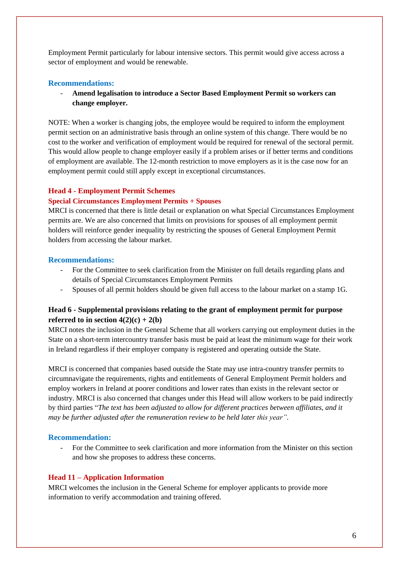Employment Permit particularly for labour intensive sectors. This permit would give access across a sector of employment and would be renewable.

#### **Recommendations:**

- **Amend legalisation to introduce a Sector Based Employment Permit so workers can change employer.**

NOTE: When a worker is changing jobs, the employee would be required to inform the employment permit section on an administrative basis through an online system of this change. There would be no cost to the worker and verification of employment would be required for renewal of the sectoral permit. This would allow people to change employer easily if a problem arises or if better terms and conditions of employment are available. The 12-month restriction to move employers as it is the case now for an employment permit could still apply except in exceptional circumstances.

#### **Head 4 - Employment Permit Schemes**

### **Special Circumstances Employment Permits + Spouses**

MRCI is concerned that there is little detail or explanation on what Special Circumstances Employment permits are. We are also concerned that limits on provisions for spouses of all employment permit holders will reinforce gender inequality by restricting the spouses of General Employment Permit holders from accessing the labour market.

## **Recommendations:**

- For the Committee to seek clarification from the Minister on full details regarding plans and details of Special Circumstances Employment Permits
- Spouses of all permit holders should be given full access to the labour market on a stamp 1G.

## **Head 6 - Supplemental provisions relating to the grant of employment permit for purpose referred to in section**  $4(2)(c) + 2(b)$

MRCI notes the inclusion in the General Scheme that all workers carrying out employment duties in the State on a short-term intercountry transfer basis must be paid at least the minimum wage for their work in Ireland regardless if their employer company is registered and operating outside the State.

MRCI is concerned that companies based outside the State may use intra-country transfer permits to circumnavigate the requirements, rights and entitlements of General Employment Permit holders and employ workers in Ireland at poorer conditions and lower rates than exists in the relevant sector or industry. MRCI is also concerned that changes under this Head will allow workers to be paid indirectly by third parties "*The text has been adjusted to allow for different practices between affiliates, and it may be further adjusted after the remuneration review to be held later this year"*.

### **Recommendation:**

- For the Committee to seek clarification and more information from the Minister on this section and how she proposes to address these concerns.

#### **Head 11 – Application Information**

MRCI welcomes the inclusion in the General Scheme for employer applicants to provide more information to verify accommodation and training offered.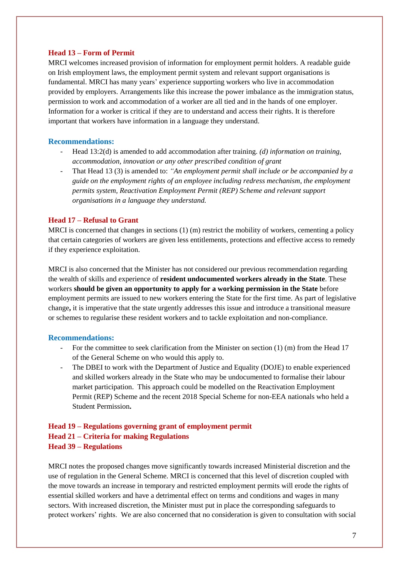### **Head 13 – Form of Permit**

MRCI welcomes increased provision of information for employment permit holders. A readable guide on Irish employment laws, the employment permit system and relevant support organisations is fundamental. MRCI has many years' experience supporting workers who live in accommodation provided by employers. Arrangements like this increase the power imbalance as the immigration status, permission to work and accommodation of a worker are all tied and in the hands of one employer. Information for a worker is critical if they are to understand and access their rights. It is therefore important that workers have information in a language they understand.

#### **Recommendations:**

- Head 13:2(d) is amended to add accommodation after training. *(d) information on training, accommodation, innovation or any other prescribed condition of grant*
- That Head 13 (3) is amended to: *"An employment permit shall include or be accompanied by a guide on the employment rights of an employee including redress mechanism, the employment permits system, Reactivation Employment Permit (REP) Scheme and relevant support organisations in a language they understand.*

### **Head 17 – Refusal to Grant**

MRCI is concerned that changes in sections (1) (m) restrict the mobility of workers, cementing a policy that certain categories of workers are given less entitlements, protections and effective access to remedy if they experience exploitation.

MRCI is also concerned that the Minister has not considered our previous recommendation regarding the wealth of skills and experience of **resident undocumented workers already in the State**. These workers **should be given an opportunity to apply for a working permission in the State** before employment permits are issued to new workers entering the State for the first time. As part of legislative change**,** it is imperative that the state urgently addresses this issue and introduce a transitional measure or schemes to regularise these resident workers and to tackle exploitation and non-compliance.

#### **Recommendations:**

- For the committee to seek clarification from the Minister on section (1) (m) from the Head 17 of the General Scheme on who would this apply to.
- The DBEI to work with the Department of Justice and Equality (DOJE) to enable experienced and skilled workers already in the State who may be undocumented to formalise their labour market participation. This approach could be modelled on the Reactivation Employment Permit (REP) Scheme and the recent 2018 Special Scheme for non-EEA nationals who held a Student Permission**.**

# **Head 19 – Regulations governing grant of employment permit Head 21 – Criteria for making Regulations Head 39 – Regulations**

MRCI notes the proposed changes move significantly towards increased Ministerial discretion and the use of regulation in the General Scheme. MRCI is concerned that this level of discretion coupled with the move towards an increase in temporary and restricted employment permits will erode the rights of essential skilled workers and have a detrimental effect on terms and conditions and wages in many sectors. With increased discretion, the Minister must put in place the corresponding safeguards to protect workers' rights. We are also concerned that no consideration is given to consultation with social